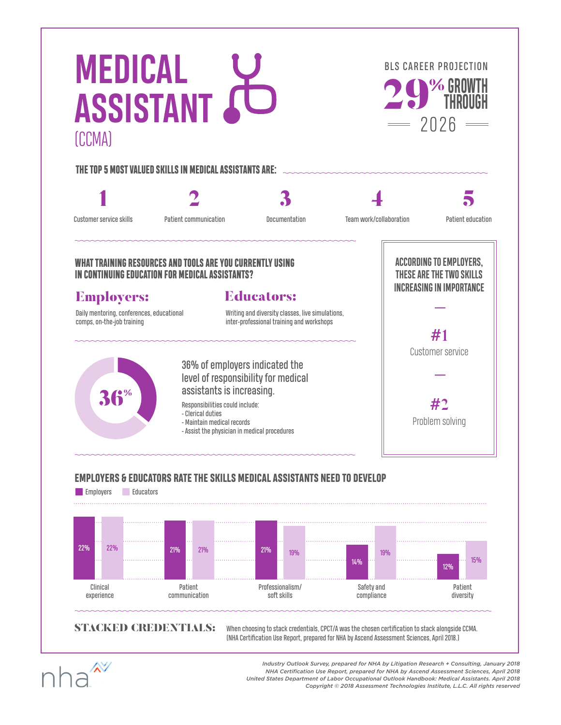

Clinical 22% 22% Patient 21% 21% Professionalism/ 21% 19% Safety and 14% 19% 12%

soft skills

communication

STACKED CREDENTIALS: When choosing to stack credentials, CPCT/A was the chosen certification to stack alongside CCMA. (NHA Certification Use Report, prepared for NHA by Ascend Assessment Sciences, April 2018.)



experience

*Industry Outlook Survey, prepared for NHA by Litigation Research + Consulting, January 2018 NHA Certification Use Report, prepared for NHA by Ascend Assessment Sciences, April 2018 United States Department of Labor Occupational Outlook Handbook: Medical Assistants. April 2018 Copyright © 2018 Assessment Technologies Institute, L.L.C. All rights reserved*

compliance

Patient diversity

15%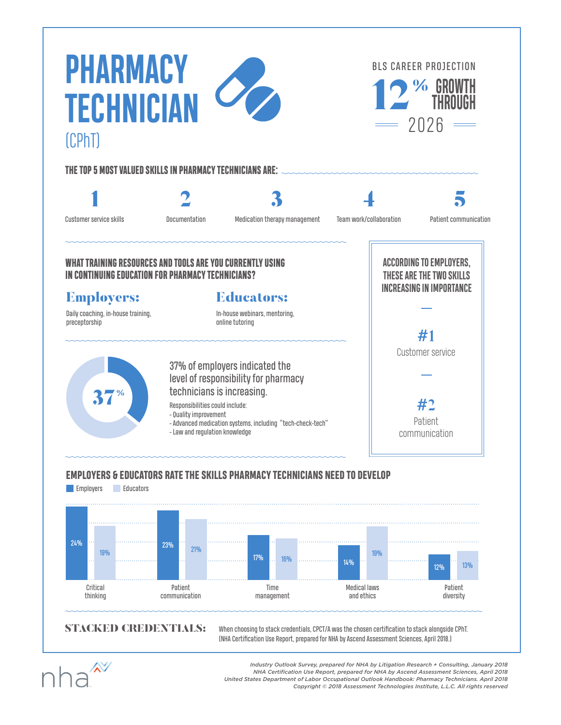

Critical thinking 19% Patient communication 23% 21% Time management 17% ... 16% Patient diversity 14% 19% Medical laws and ethics 12% 13%

STACKED CREDENTIALS: When choosing to stack credentials, CPCT/A was the chosen certification to stack alongside CPhT. (NHA Certification Use Report, prepared for NHA by Ascend Assessment Sciences, April 2018.)



*Industry Outlook Survey, prepared for NHA by Litigation Research + Consulting, January 2018 NHA Certification Use Report, prepared for NHA by Ascend Assessment Sciences, April 2018 United States Department of Labor Occupational Outlook Handbook: Pharmacy Technicians. April 2018 Copyright © 2018 Assessment Technologies Institute, L.L.C. All rights reserved*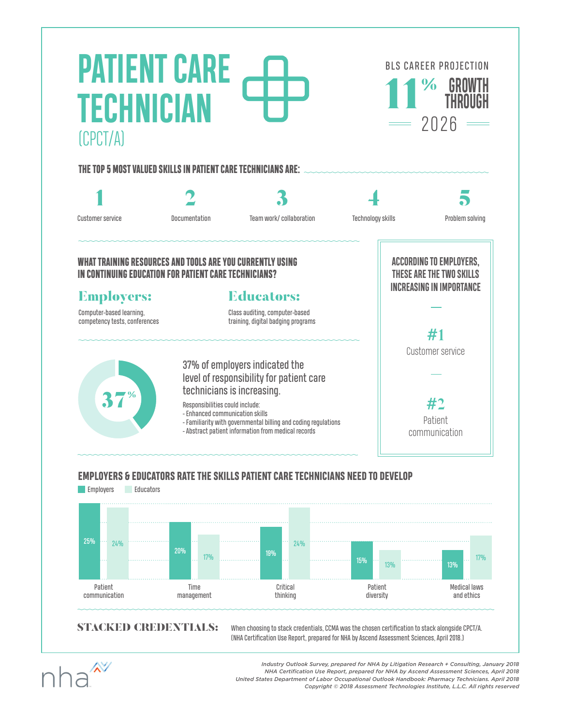

Patient communication

Critical thinking

Time management

STACKED CREDENTIALS: When choosing to stack credentials, CCMA was the chosen certification to stack alongside CPCT/A. (NHA Certification Use Report, prepared for NHA by Ascend Assessment Sciences, April 2018.)



*Industry Outlook Survey, prepared for NHA by Litigation Research + Consulting, January 2018 NHA Certification Use Report, prepared for NHA by Ascend Assessment Sciences, April 2018 United States Department of Labor Occupational Outlook Handbook: Pharmacy Technicians. April 2018 Copyright © 2018 Assessment Technologies Institute, L.L.C. All rights reserved*

Patient diversity Medical laws and ethics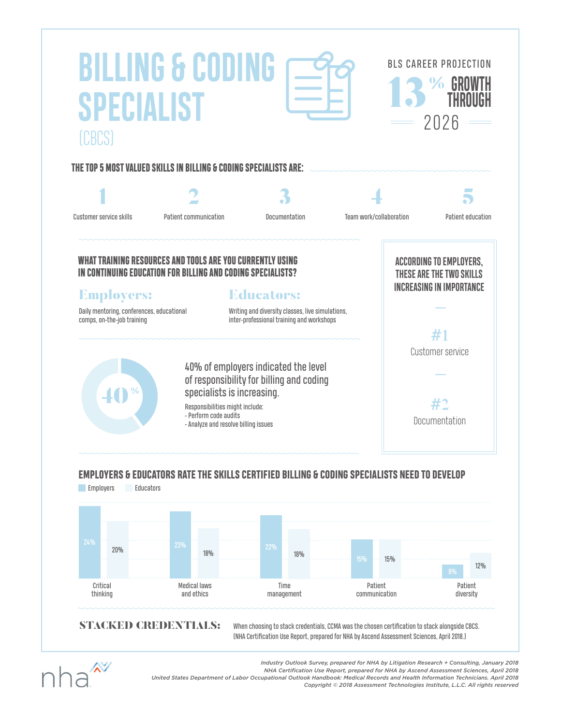



STACKED CREDENTIALS: When choosing to stack credentials, CCMA was the chosen certification to stack alongside CBCS. (NHA Certification Use Report, prepared for NHA by Ascend Assessment Sciences, April 2018.)



*Industry Outlook Survey, prepared for NHA by Litigation Research + Consulting, January 2018 NHA Certification Use Report, prepared for NHA by Ascend Assessment Sciences, April 2018 United States Department of Labor Occupational Outlook Handbook: Medical Records and Health Information Technicians. April 2018 Copyright © 2018 Assessment Technologies Institute, L.L.C. All rights reserved*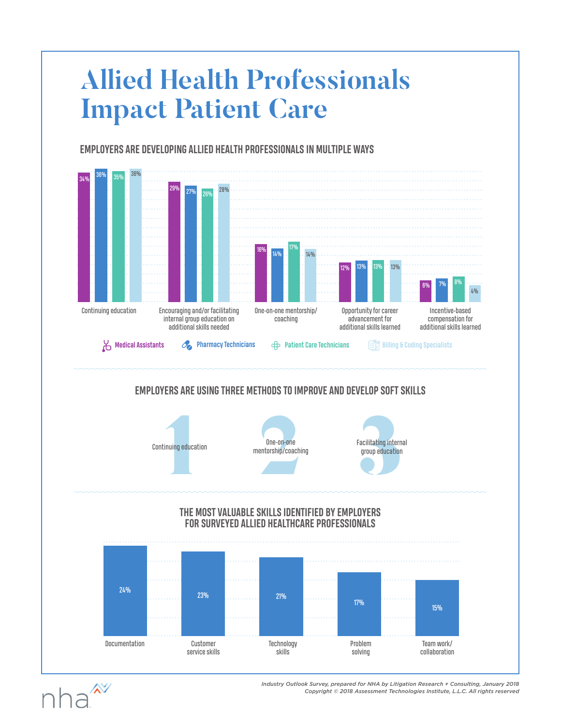# **Allied Health Professionals Impact Patient Care**

**EMPLOYERS ARE DEVELOPING ALLIED HEALTH PROFESSIONALS IN MULTIPLE WAYS**



#### **EMPLOYERS ARE USING THREE METHODS TO IMPROVE AND DEVELOP SOFT SKILLS**





*Industry Outlook Survey, prepared for NHA by Litigation Research + Consulting, January 2018 Copyright © 2018 Assessment Technologies Institute, L.L.C. All rights reserved*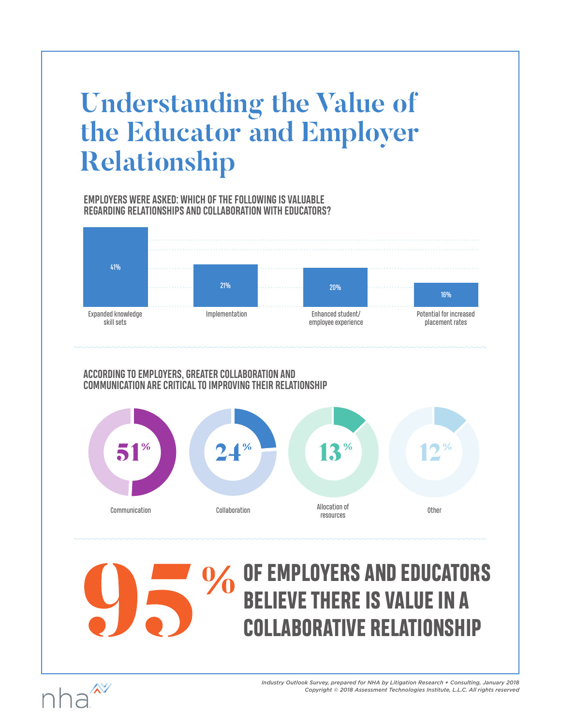# **Understanding the Value of the Educator and Employer Relationship**

**EMPLOYERS WERE ASKED: WHICH OF THE FOLLOWING IS VALUABLE REGARDING RELATIONSHIPS AND COLLABORATION WITH EDUCATORS?**



#### **ACCORDING TO EMPLOYERS, GREATER COLLABORATION AND COMMUNICATION ARE CRITICAL TO IMPROVING THEIR RELATIONSHIP**



## **OF EMPLOYERS AND EDUCATORS BELIEVE THERE IS VALUE IN A COLLABORATIVE RELATIONSHIP**